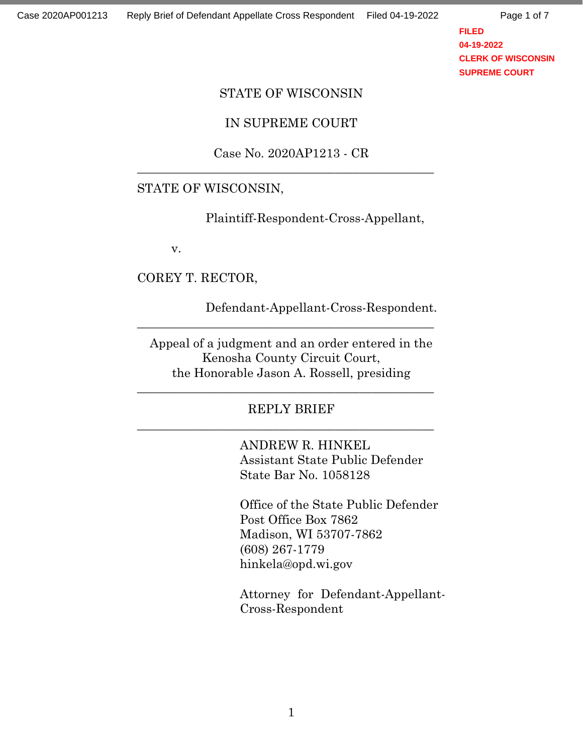Page 1 of 7

**FILED 04-19-2022 CLERK OF WISCONSIN SUPREME COURT**

## STATE OF WISCONSIN

IN SUPREME COURT

Case No. 2020AP1213 - CR

 $\overline{a_1}$  , and the set of the set of the set of the set of the set of the set of the set of the set of the set of the set of the set of the set of the set of the set of the set of the set of the set of the set of the se

## STATE OF WISCONSIN,

Plaintiff-Respondent-Cross-Appellant,

v.

COREY T. RECTOR,

Defendant-Appellant-Cross-Respondent.

Appeal of a judgment and an order entered in the Kenosha County Circuit Court, the Honorable Jason A. Rossell, presiding

 $\overline{\phantom{a}}$  , and the contract of the contract of the contract of the contract of the contract of the contract of the contract of the contract of the contract of the contract of the contract of the contract of the contrac

#### REPLY BRIEF

 $\overline{\phantom{a}}$  , and the contract of the contract of the contract of the contract of the contract of the contract of the contract of the contract of the contract of the contract of the contract of the contract of the contrac

\_\_\_\_\_\_\_\_\_\_\_\_\_\_\_\_\_\_\_\_\_\_\_\_\_\_\_\_\_\_\_\_\_\_\_\_\_\_\_\_\_\_\_\_\_\_\_\_

ANDREW R. HINKEL Assistant State Public Defender State Bar No. 1058128

Office of the State Public Defender Post Office Box 7862 Madison, WI 53707-7862 (608) 267-1779 hinkela@opd.wi.gov

Attorney for Defendant-Appellant-Cross-Respondent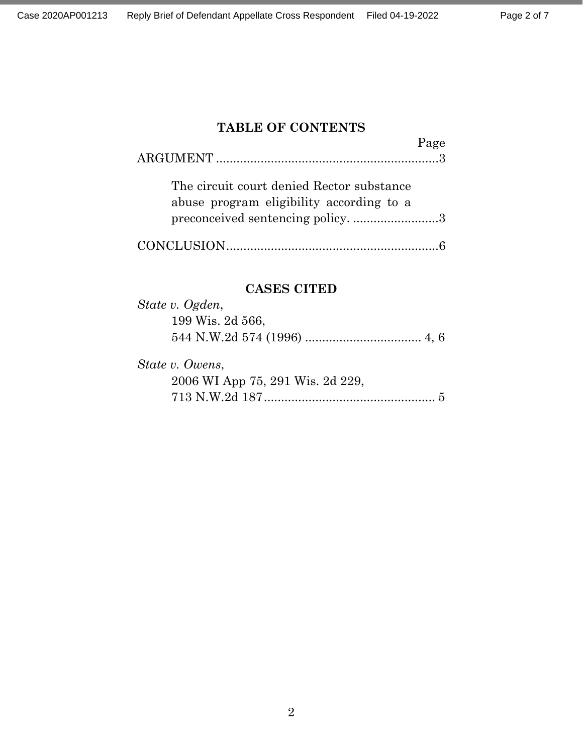# **TABLE OF CONTENTS**

|                                                                                                                          | Page |
|--------------------------------------------------------------------------------------------------------------------------|------|
| The circuit court denied Rector substance<br>abuse program eligibility according to a<br>preconceived sentencing policy3 |      |
|                                                                                                                          |      |

# **CASES CITED**

| State v. Ogden,                                     |  |
|-----------------------------------------------------|--|
| 199 Wis. 2d 566,                                    |  |
|                                                     |  |
| State v. Owens,<br>2006 WI App 75, 291 Wis. 2d 229, |  |
|                                                     |  |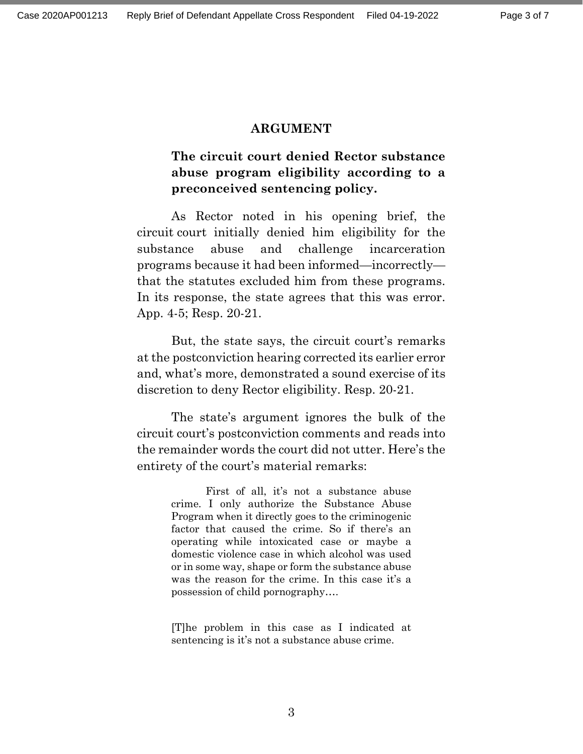#### **ARGUMENT**

# **The circuit court denied Rector substance abuse program eligibility according to a preconceived sentencing policy.**

As Rector noted in his opening brief, the circuit court initially denied him eligibility for the substance abuse and challenge incarceration programs because it had been informed—incorrectly that the statutes excluded him from these programs. In its response, the state agrees that this was error. App. 4-5; Resp. 20-21.

But, the state says, the circuit court's remarks at the postconviction hearing corrected its earlier error and, what's more, demonstrated a sound exercise of its discretion to deny Rector eligibility. Resp. 20-21.

The state's argument ignores the bulk of the circuit court's postconviction comments and reads into the remainder words the court did not utter. Here's the entirety of the court's material remarks:

> First of all, it's not a substance abuse crime. I only authorize the Substance Abuse Program when it directly goes to the criminogenic factor that caused the crime. So if there's an operating while intoxicated case or maybe a domestic violence case in which alcohol was used or in some way, shape or form the substance abuse was the reason for the crime. In this case it's a possession of child pornography….

> [T]he problem in this case as I indicated at sentencing is it's not a substance abuse crime.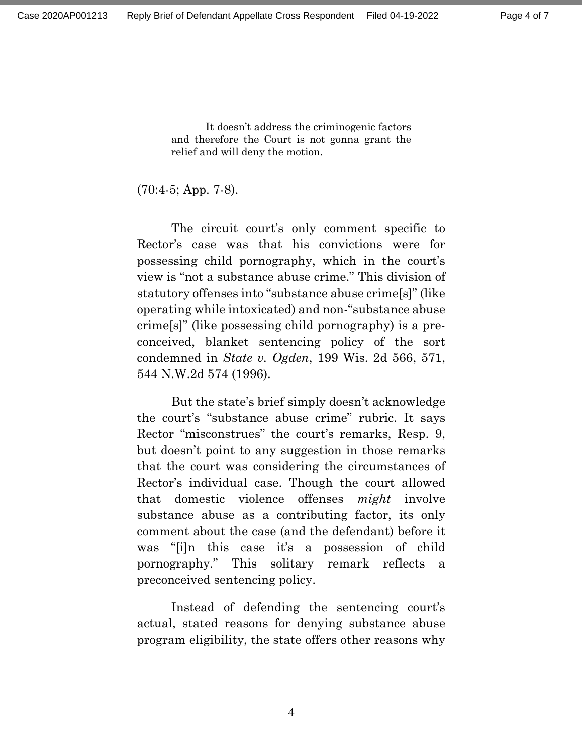It doesn't address the criminogenic factors and therefore the Court is not gonna grant the relief and will deny the motion.

(70:4-5; App. 7-8).

The circuit court's only comment specific to Rector's case was that his convictions were for possessing child pornography, which in the court's view is "not a substance abuse crime." This division of statutory offenses into "substance abuse crime[s]" (like operating while intoxicated) and non-"substance abuse crime[s]" (like possessing child pornography) is a preconceived, blanket sentencing policy of the sort condemned in *State v. Ogden*, 199 Wis. 2d 566, 571, 544 N.W.2d 574 (1996).

But the state's brief simply doesn't acknowledge the court's "substance abuse crime" rubric. It says Rector "misconstrues" the court's remarks, Resp. 9, but doesn't point to any suggestion in those remarks that the court was considering the circumstances of Rector's individual case. Though the court allowed that domestic violence offenses *might* involve substance abuse as a contributing factor, its only comment about the case (and the defendant) before it was "[i]n this case it's a possession of child pornography." This solitary remark reflects a preconceived sentencing policy.

Instead of defending the sentencing court's actual, stated reasons for denying substance abuse program eligibility, the state offers other reasons why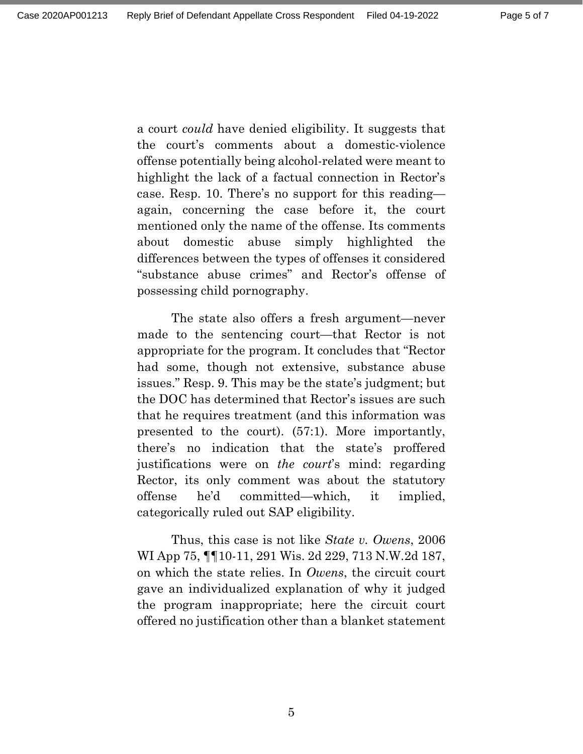a court *could* have denied eligibility. It suggests that the court's comments about a domestic-violence offense potentially being alcohol-related were meant to highlight the lack of a factual connection in Rector's case. Resp. 10. There's no support for this reading again, concerning the case before it, the court mentioned only the name of the offense. Its comments about domestic abuse simply highlighted the differences between the types of offenses it considered "substance abuse crimes" and Rector's offense of possessing child pornography.

The state also offers a fresh argument—never made to the sentencing court—that Rector is not appropriate for the program. It concludes that "Rector had some, though not extensive, substance abuse issues." Resp. 9. This may be the state's judgment; but the DOC has determined that Rector's issues are such that he requires treatment (and this information was presented to the court). (57:1). More importantly, there's no indication that the state's proffered justifications were on *the court*'s mind: regarding Rector, its only comment was about the statutory offense he'd committed—which, it implied, categorically ruled out SAP eligibility.

Thus, this case is not like *State v. Owens*, 2006 WI App 75, ¶¶10-11, 291 Wis. 2d 229, 713 N.W.2d 187, on which the state relies. In *Owens*, the circuit court gave an individualized explanation of why it judged the program inappropriate; here the circuit court offered no justification other than a blanket statement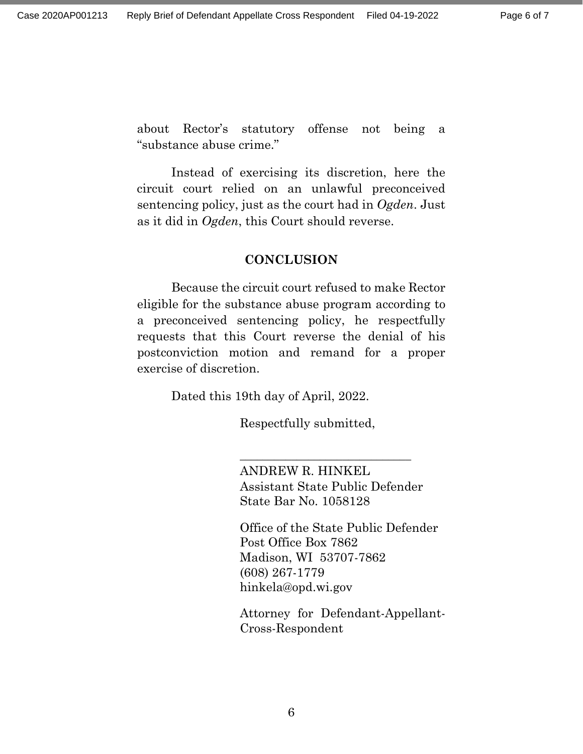about Rector's statutory offense not being a "substance abuse crime."

Instead of exercising its discretion, here the circuit court relied on an unlawful preconceived sentencing policy, just as the court had in *Ogden*. Just as it did in *Ogden*, this Court should reverse.

#### **CONCLUSION**

Because the circuit court refused to make Rector eligible for the substance abuse program according to a preconceived sentencing policy, he respectfully requests that this Court reverse the denial of his postconviction motion and remand for a proper exercise of discretion.

Dated this 19th day of April, 2022.

Respectfully submitted,

ANDREW R. HINKEL Assistant State Public Defender State Bar No. 1058128

 $\overline{\phantom{a}}$  , where  $\overline{\phantom{a}}$  , where  $\overline{\phantom{a}}$  ,  $\overline{\phantom{a}}$  ,  $\overline{\phantom{a}}$  ,  $\overline{\phantom{a}}$  ,  $\overline{\phantom{a}}$  ,  $\overline{\phantom{a}}$  ,  $\overline{\phantom{a}}$  ,  $\overline{\phantom{a}}$  ,  $\overline{\phantom{a}}$  ,  $\overline{\phantom{a}}$  ,  $\overline{\phantom{a}}$  ,  $\overline{\phantom{a}}$  ,  $\overline{\phantom{a}}$  ,

Office of the State Public Defender Post Office Box 7862 Madison, WI 53707-7862 (608) 267-1779 hinkela@opd.wi.gov

Attorney for Defendant-Appellant-Cross-Respondent